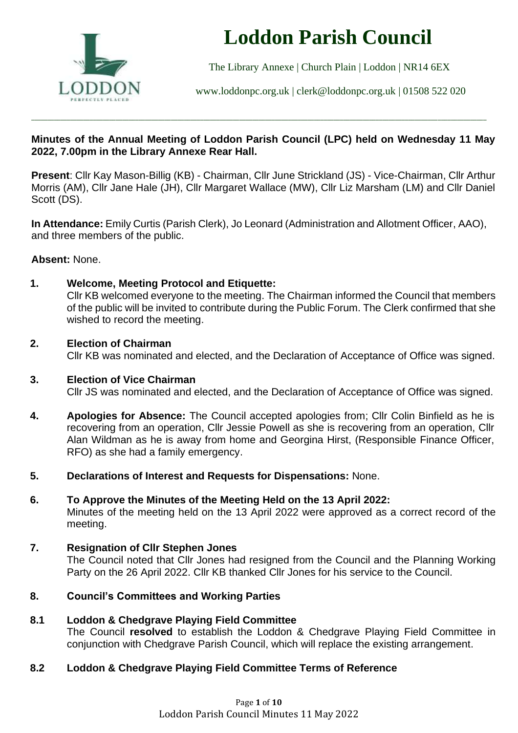

# **Loddon Parish Council**

The Library Annexe | Church Plain | Loddon | NR14 6EX

[www.loddonpc.org.uk](http://www.loddonpc.org.uk/) | [clerk@loddonpc.org.uk](mailto:clerk@loddonpc.org.uk) | 01508 522 020

# **Minutes of the Annual Meeting of Loddon Parish Council (LPC) held on Wednesday 11 May 2022, 7.00pm in the Library Annexe Rear Hall.**

\_\_\_\_\_\_\_\_\_\_\_\_\_\_\_\_\_\_\_\_\_\_\_\_\_\_\_\_\_\_\_\_\_\_\_\_\_\_\_\_\_\_\_\_\_\_\_\_\_\_\_\_\_\_\_\_\_\_\_\_\_\_\_\_\_\_\_\_\_\_\_\_\_\_\_\_\_\_\_\_\_\_\_\_\_\_\_\_\_\_\_\_\_\_\_\_\_\_\_\_\_\_\_\_\_\_\_\_\_\_\_\_\_\_\_\_\_\_\_\_\_\_\_\_\_\_\_\_\_\_\_\_\_\_\_\_\_\_\_\_

**Present**: Cllr Kay Mason-Billig (KB) - Chairman, Cllr June Strickland (JS) - Vice-Chairman, Cllr Arthur Morris (AM), Cllr Jane Hale (JH), Cllr Margaret Wallace (MW), Cllr Liz Marsham (LM) and Cllr Daniel Scott (DS).

**In Attendance:** Emily Curtis (Parish Clerk), Jo Leonard (Administration and Allotment Officer, AAO), and three members of the public.

# **Absent:** None.

# **1. Welcome, Meeting Protocol and Etiquette:**

Cllr KB welcomed everyone to the meeting. The Chairman informed the Council that members of the public will be invited to contribute during the Public Forum. The Clerk confirmed that she wished to record the meeting.

# **2. Election of Chairman**

Cllr KB was nominated and elected, and the Declaration of Acceptance of Office was signed.

## **3. Election of Vice Chairman**

Cllr JS was nominated and elected, and the Declaration of Acceptance of Office was signed.

- **4. Apologies for Absence:** The Council accepted apologies from; Cllr Colin Binfield as he is recovering from an operation, Cllr Jessie Powell as she is recovering from an operation, Cllr Alan Wildman as he is away from home and Georgina Hirst, (Responsible Finance Officer, RFO) as she had a family emergency.
- **5. Declarations of Interest and Requests for Dispensations:** None.
- **6. To Approve the Minutes of the Meeting Held on the 13 April 2022:**  Minutes of the meeting held on the 13 April 2022 were approved as a correct record of the meeting.

# **7. Resignation of Cllr Stephen Jones**

The Council noted that Cllr Jones had resigned from the Council and the Planning Working Party on the 26 April 2022. Cllr KB thanked Cllr Jones for his service to the Council.

# **8. Council's Committees and Working Parties**

**8.1 Loddon & Chedgrave Playing Field Committee** The Council **resolved** to establish the Loddon & Chedgrave Playing Field Committee in conjunction with Chedgrave Parish Council, which will replace the existing arrangement.

# **8.2 Loddon & Chedgrave Playing Field Committee Terms of Reference**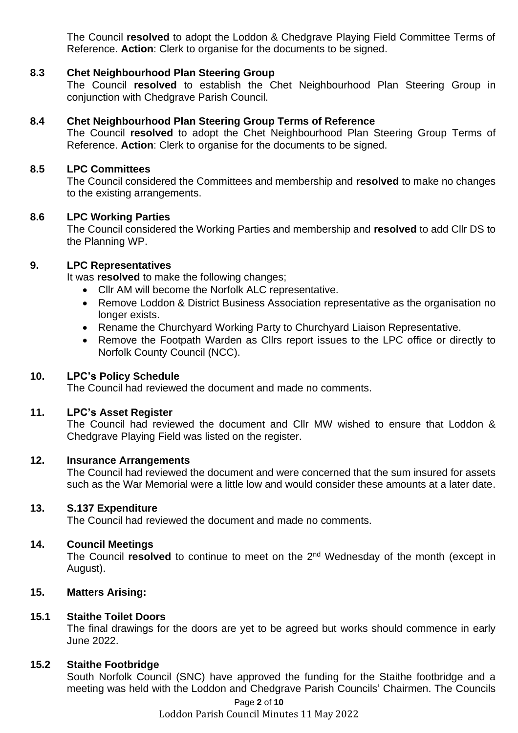The Council **resolved** to adopt the Loddon & Chedgrave Playing Field Committee Terms of Reference. **Action**: Clerk to organise for the documents to be signed.

## **8.3 Chet Neighbourhood Plan Steering Group**

The Council **resolved** to establish the Chet Neighbourhood Plan Steering Group in conjunction with Chedgrave Parish Council.

#### **8.4 Chet Neighbourhood Plan Steering Group Terms of Reference**

The Council **resolved** to adopt the Chet Neighbourhood Plan Steering Group Terms of Reference. **Action**: Clerk to organise for the documents to be signed.

#### **8.5 LPC Committees**

The Council considered the Committees and membership and **resolved** to make no changes to the existing arrangements.

#### **8.6 LPC Working Parties**

The Council considered the Working Parties and membership and **resolved** to add Cllr DS to the Planning WP.

## **9. LPC Representatives**

It was **resolved** to make the following changes;

- Cllr AM will become the Norfolk ALC representative.
- Remove Loddon & District Business Association representative as the organisation no longer exists.
- Rename the Churchyard Working Party to Churchyard Liaison Representative.
- Remove the Footpath Warden as Cllrs report issues to the LPC office or directly to Norfolk County Council (NCC).

#### **10. LPC's Policy Schedule**

The Council had reviewed the document and made no comments.

#### **11. LPC's Asset Register**

The Council had reviewed the document and Cllr MW wished to ensure that Loddon & Chedgrave Playing Field was listed on the register.

#### **12. Insurance Arrangements**

The Council had reviewed the document and were concerned that the sum insured for assets such as the War Memorial were a little low and would consider these amounts at a later date.

#### **13. S.137 Expenditure**

The Council had reviewed the document and made no comments.

#### **14. Council Meetings**

The Council **resolved** to continue to meet on the 2<sup>nd</sup> Wednesday of the month (except in August).

#### **15. Matters Arising:**

#### **15.1 Staithe Toilet Doors**

The final drawings for the doors are yet to be agreed but works should commence in early June 2022.

#### **15.2 Staithe Footbridge**

South Norfolk Council (SNC) have approved the funding for the Staithe footbridge and a meeting was held with the Loddon and Chedgrave Parish Councils' Chairmen. The Councils

Page **2** of **10**

Loddon Parish Council Minutes 11 May 2022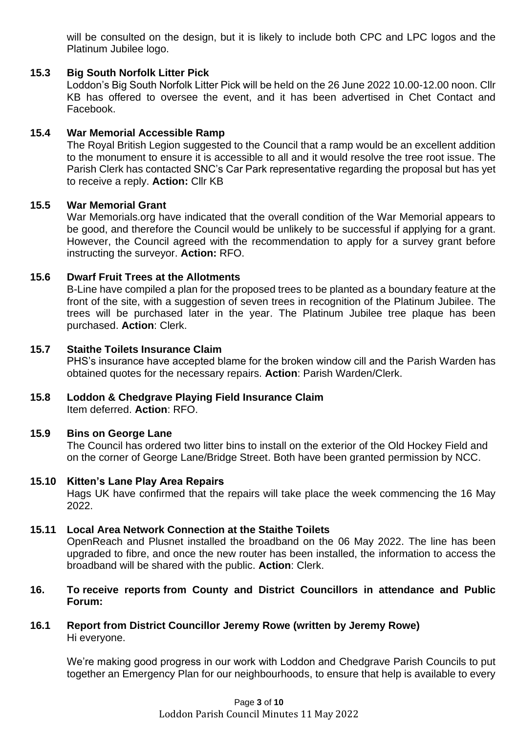will be consulted on the design, but it is likely to include both CPC and LPC logos and the Platinum Jubilee logo.

# **15.3 Big South Norfolk Litter Pick**

Loddon's Big South Norfolk Litter Pick will be held on the 26 June 2022 10.00-12.00 noon. Cllr KB has offered to oversee the event, and it has been advertised in Chet Contact and Facebook.

## **15.4 War Memorial Accessible Ramp**

The Royal British Legion suggested to the Council that a ramp would be an excellent addition to the monument to ensure it is accessible to all and it would resolve the tree root issue. The Parish Clerk has contacted SNC's Car Park representative regarding the proposal but has yet to receive a reply. **Action:** Cllr KB

## **15.5 War Memorial Grant**

War Memorials.org have indicated that the overall condition of the War Memorial appears to be good, and therefore the Council would be unlikely to be successful if applying for a grant. However, the Council agreed with the recommendation to apply for a survey grant before instructing the surveyor. **Action:** RFO.

## **15.6 Dwarf Fruit Trees at the Allotments**

B-Line have compiled a plan for the proposed trees to be planted as a boundary feature at the front of the site, with a suggestion of seven trees in recognition of the Platinum Jubilee. The trees will be purchased later in the year. The Platinum Jubilee tree plaque has been purchased. **Action**: Clerk.

#### **15.7 Staithe Toilets Insurance Claim**

PHS's insurance have accepted blame for the broken window cill and the Parish Warden has obtained quotes for the necessary repairs. **Action**: Parish Warden/Clerk.

# **15.8 Loddon & Chedgrave Playing Field Insurance Claim**

Item deferred. **Action**: RFO.

## **15.9 Bins on George Lane**

The Council has ordered two litter bins to install on the exterior of the Old Hockey Field and on the corner of George Lane/Bridge Street. Both have been granted permission by NCC.

## **15.10 Kitten's Lane Play Area Repairs**

Hags UK have confirmed that the repairs will take place the week commencing the 16 May 2022.

## **15.11 Local Area Network Connection at the Staithe Toilets**

OpenReach and Plusnet installed the broadband on the 06 May 2022. The line has been upgraded to fibre, and once the new router has been installed, the information to access the broadband will be shared with the public. **Action**: Clerk.

## **16. To receive reports from County and District Councillors in attendance and Public Forum:**

## **16.1 Report from District Councillor Jeremy Rowe (written by Jeremy Rowe)** Hi everyone.

We're making good progress in our work with Loddon and Chedgrave Parish Councils to put together an Emergency Plan for our neighbourhoods, to ensure that help is available to every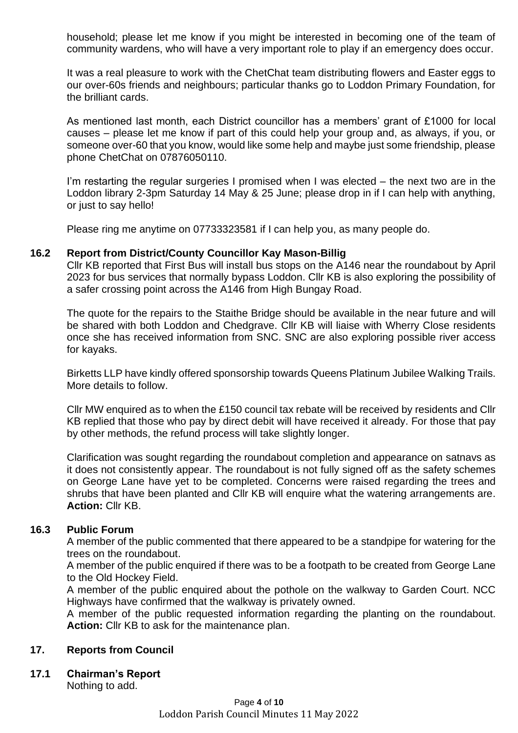household; please let me know if you might be interested in becoming one of the team of community wardens, who will have a very important role to play if an emergency does occur.

It was a real pleasure to work with the ChetChat team distributing flowers and Easter eggs to our over-60s friends and neighbours; particular thanks go to Loddon Primary Foundation, for the brilliant cards.

As mentioned last month, each District councillor has a members' grant of £1000 for local causes – please let me know if part of this could help your group and, as always, if you, or someone over-60 that you know, would like some help and maybe just some friendship, please phone ChetChat on 07876050110.

I'm restarting the regular surgeries I promised when I was elected – the next two are in the Loddon library 2-3pm Saturday 14 May & 25 June; please drop in if I can help with anything, or just to say hello!

Please ring me anytime on 07733323581 if I can help you, as many people do.

## **16.2 Report from District/County Councillor Kay Mason-Billig**

Cllr KB reported that First Bus will install bus stops on the A146 near the roundabout by April 2023 for bus services that normally bypass Loddon. Cllr KB is also exploring the possibility of a safer crossing point across the A146 from High Bungay Road.

The quote for the repairs to the Staithe Bridge should be available in the near future and will be shared with both Loddon and Chedgrave. Cllr KB will liaise with Wherry Close residents once she has received information from SNC. SNC are also exploring possible river access for kayaks.

Birketts LLP have kindly offered sponsorship towards Queens Platinum Jubilee Walking Trails. More details to follow.

Cllr MW enquired as to when the £150 council tax rebate will be received by residents and Cllr KB replied that those who pay by direct debit will have received it already. For those that pay by other methods, the refund process will take slightly longer.

Clarification was sought regarding the roundabout completion and appearance on satnavs as it does not consistently appear. The roundabout is not fully signed off as the safety schemes on George Lane have yet to be completed. Concerns were raised regarding the trees and shrubs that have been planted and Cllr KB will enquire what the watering arrangements are. **Action:** Cllr KB.

## **16.3 Public Forum**

A member of the public commented that there appeared to be a standpipe for watering for the trees on the roundabout.

A member of the public enquired if there was to be a footpath to be created from George Lane to the Old Hockey Field.

A member of the public enquired about the pothole on the walkway to Garden Court. NCC Highways have confirmed that the walkway is privately owned.

A member of the public requested information regarding the planting on the roundabout. **Action:** Cllr KB to ask for the maintenance plan.

## **17. Reports from Council**

**17.1 Chairman's Report**

Nothing to add.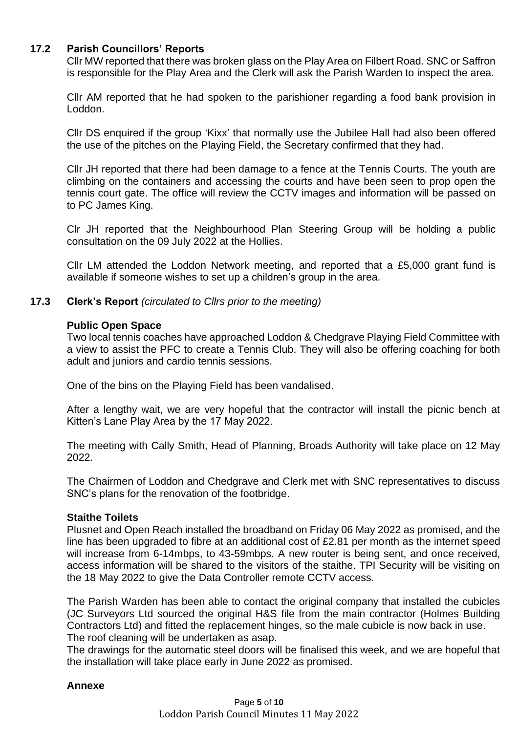# **17.2 Parish Councillors' Reports**

Cllr MW reported that there was broken glass on the Play Area on Filbert Road. SNC or Saffron is responsible for the Play Area and the Clerk will ask the Parish Warden to inspect the area.

Cllr AM reported that he had spoken to the parishioner regarding a food bank provision in Loddon.

Cllr DS enquired if the group 'Kixx' that normally use the Jubilee Hall had also been offered the use of the pitches on the Playing Field, the Secretary confirmed that they had.

Cllr JH reported that there had been damage to a fence at the Tennis Courts. The youth are climbing on the containers and accessing the courts and have been seen to prop open the tennis court gate. The office will review the CCTV images and information will be passed on to PC James King.

Clr JH reported that the Neighbourhood Plan Steering Group will be holding a public consultation on the 09 July 2022 at the Hollies.

Cllr LM attended the Loddon Network meeting, and reported that a £5,000 grant fund is available if someone wishes to set up a children's group in the area.

## **17.3 Clerk's Report** *(circulated to Cllrs prior to the meeting)*

#### **Public Open Space**

Two local tennis coaches have approached Loddon & Chedgrave Playing Field Committee with a view to assist the PFC to create a Tennis Club. They will also be offering coaching for both adult and juniors and cardio tennis sessions.

One of the bins on the Playing Field has been vandalised.

After a lengthy wait, we are very hopeful that the contractor will install the picnic bench at Kitten's Lane Play Area by the 17 May 2022.

The meeting with Cally Smith, Head of Planning, Broads Authority will take place on 12 May 2022.

The Chairmen of Loddon and Chedgrave and Clerk met with SNC representatives to discuss SNC's plans for the renovation of the footbridge.

## **Staithe Toilets**

Plusnet and Open Reach installed the broadband on Friday 06 May 2022 as promised, and the line has been upgraded to fibre at an additional cost of £2.81 per month as the internet speed will increase from 6-14mbps, to 43-59mbps. A new router is being sent, and once received, access information will be shared to the visitors of the staithe. TPI Security will be visiting on the 18 May 2022 to give the Data Controller remote CCTV access.

The Parish Warden has been able to contact the original company that installed the cubicles (JC Surveyors Ltd sourced the original H&S file from the main contractor (Holmes Building Contractors Ltd) and fitted the replacement hinges, so the male cubicle is now back in use. The roof cleaning will be undertaken as asap.

The drawings for the automatic steel doors will be finalised this week, and we are hopeful that the installation will take place early in June 2022 as promised.

## **Annexe**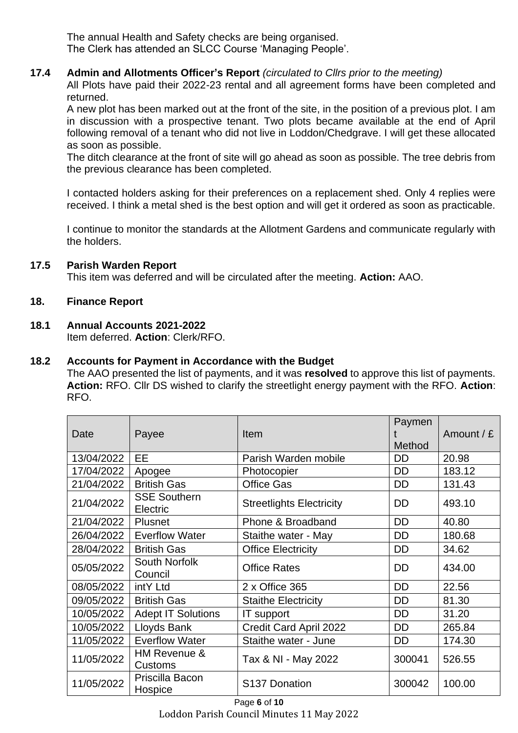The annual Health and Safety checks are being organised. The Clerk has attended an SLCC Course 'Managing People'.

# **17.4 Admin and Allotments Officer's Report** *(circulated to Cllrs prior to the meeting)*

All Plots have paid their 2022-23 rental and all agreement forms have been completed and returned.

A new plot has been marked out at the front of the site, in the position of a previous plot. I am in discussion with a prospective tenant. Two plots became available at the end of April following removal of a tenant who did not live in Loddon/Chedgrave. I will get these allocated as soon as possible.

The ditch clearance at the front of site will go ahead as soon as possible. The tree debris from the previous clearance has been completed.

I contacted holders asking for their preferences on a replacement shed. Only 4 replies were received. I think a metal shed is the best option and will get it ordered as soon as practicable.

I continue to monitor the standards at the Allotment Gardens and communicate regularly with the holders.

# **17.5 Parish Warden Report**

This item was deferred and will be circulated after the meeting. **Action:** AAO.

# **18. Finance Report**

# **18.1 Annual Accounts 2021-2022**

Item deferred. **Action**: Clerk/RFO.

# **18.2 Accounts for Payment in Accordance with the Budget**

The AAO presented the list of payments, and it was **resolved** to approve this list of payments. **Action:** RFO. Cllr DS wished to clarify the streetlight energy payment with the RFO. **Action**: RFO.

| Date       | Payee                           | <b>Item</b>                     | Paymen<br>Method | Amount / $E$ |
|------------|---------------------------------|---------------------------------|------------------|--------------|
| 13/04/2022 | <b>EE</b>                       | Parish Warden mobile            | <b>DD</b>        | 20.98        |
| 17/04/2022 | Apogee                          | Photocopier                     | DD               | 183.12       |
| 21/04/2022 | <b>British Gas</b>              | <b>Office Gas</b>               | <b>DD</b>        | 131.43       |
| 21/04/2022 | <b>SSE Southern</b><br>Electric | <b>Streetlights Electricity</b> | DD               | 493.10       |
| 21/04/2022 | <b>Plusnet</b>                  | Phone & Broadband               | <b>DD</b>        | 40.80        |
| 26/04/2022 | <b>Everflow Water</b>           | Staithe water - May             | <b>DD</b>        | 180.68       |
| 28/04/2022 | <b>British Gas</b>              | <b>Office Electricity</b>       | DD               | 34.62        |
| 05/05/2022 | <b>South Norfolk</b><br>Council | <b>Office Rates</b>             | <b>DD</b>        | 434.00       |
| 08/05/2022 | intY Ltd                        | 2 x Office 365                  | <b>DD</b>        | 22.56        |
| 09/05/2022 | <b>British Gas</b>              | <b>Staithe Electricity</b>      | <b>DD</b>        | 81.30        |
| 10/05/2022 | <b>Adept IT Solutions</b>       | IT support                      | DD               | 31.20        |
| 10/05/2022 | Lloyds Bank                     | Credit Card April 2022          | DD               | 265.84       |
| 11/05/2022 | <b>Everflow Water</b>           | Staithe water - June            | <b>DD</b>        | 174.30       |
| 11/05/2022 | HM Revenue &<br><b>Customs</b>  | Tax & NI - May 2022             | 300041           | 526.55       |
| 11/05/2022 | Priscilla Bacon<br>Hospice      | S137 Donation                   | 300042           | 100.00       |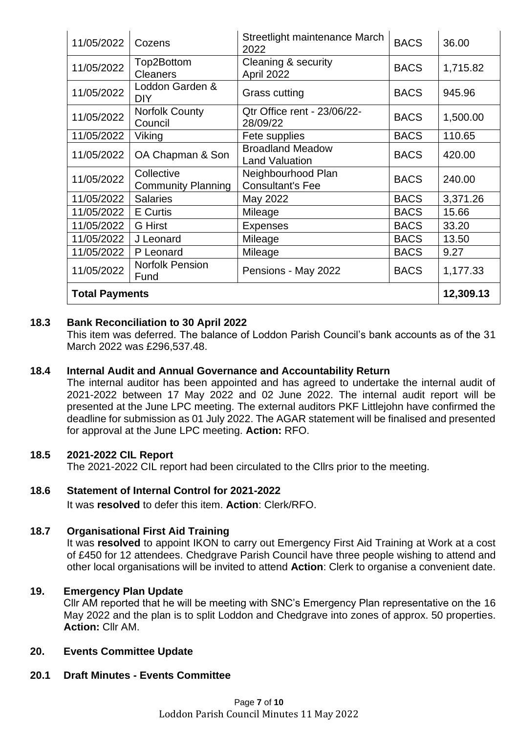| 11/05/2022            | Cozens                                  | Streetlight maintenance March<br>2022            | <b>BACS</b> | 36.00    |  |
|-----------------------|-----------------------------------------|--------------------------------------------------|-------------|----------|--|
| 11/05/2022            | Top2Bottom<br><b>Cleaners</b>           | Cleaning & security<br>April 2022                | <b>BACS</b> | 1,715.82 |  |
| 11/05/2022            | Loddon Garden &<br><b>DIY</b>           | Grass cutting                                    | <b>BACS</b> | 945.96   |  |
| 11/05/2022            | <b>Norfolk County</b><br>Council        | Qtr Office rent - 23/06/22-<br>28/09/22          | <b>BACS</b> | 1,500.00 |  |
| 11/05/2022            | Viking                                  | Fete supplies                                    | <b>BACS</b> | 110.65   |  |
| 11/05/2022            | OA Chapman & Son                        | <b>Broadland Meadow</b><br><b>Land Valuation</b> | <b>BACS</b> | 420.00   |  |
| 11/05/2022            | Collective<br><b>Community Planning</b> | Neighbourhood Plan<br><b>Consultant's Fee</b>    | <b>BACS</b> | 240.00   |  |
| 11/05/2022            | <b>Salaries</b>                         | May 2022                                         | <b>BACS</b> | 3,371.26 |  |
| 11/05/2022            | <b>E</b> Curtis                         | Mileage                                          | <b>BACS</b> | 15.66    |  |
| 11/05/2022            | <b>G</b> Hirst                          | <b>Expenses</b>                                  | <b>BACS</b> | 33.20    |  |
| 11/05/2022            | J Leonard                               | Mileage                                          | <b>BACS</b> | 13.50    |  |
| 11/05/2022            | P Leonard                               | Mileage                                          | <b>BACS</b> | 9.27     |  |
| 11/05/2022            | <b>Norfolk Pension</b><br>Fund          | Pensions - May 2022                              | <b>BACS</b> | 1,177.33 |  |
| <b>Total Payments</b> |                                         |                                                  |             |          |  |

# **18.3 Bank Reconciliation to 30 April 2022**

This item was deferred. The balance of Loddon Parish Council's bank accounts as of the 31 March 2022 was £296,537.48.

## **18.4 Internal Audit and Annual Governance and Accountability Return**

The internal auditor has been appointed and has agreed to undertake the internal audit of 2021-2022 between 17 May 2022 and 02 June 2022. The internal audit report will be presented at the June LPC meeting. The external auditors PKF Littlejohn have confirmed the deadline for submission as 01 July 2022. The AGAR statement will be finalised and presented for approval at the June LPC meeting. **Action:** RFO.

## **18.5 2021-2022 CIL Report**

The 2021-2022 CIL report had been circulated to the Cllrs prior to the meeting.

## **18.6 Statement of Internal Control for 2021-2022**

It was **resolved** to defer this item. **Action**: Clerk/RFO.

## **18.7 Organisational First Aid Training**

It was **resolved** to appoint IKON to carry out Emergency First Aid Training at Work at a cost of £450 for 12 attendees. Chedgrave Parish Council have three people wishing to attend and other local organisations will be invited to attend **Action**: Clerk to organise a convenient date.

## **19. Emergency Plan Update**

Cllr AM reported that he will be meeting with SNC's Emergency Plan representative on the 16 May 2022 and the plan is to split Loddon and Chedgrave into zones of approx. 50 properties. **Action:** Cllr AM.

## **20. Events Committee Update**

## **20.1 Draft Minutes - Events Committee**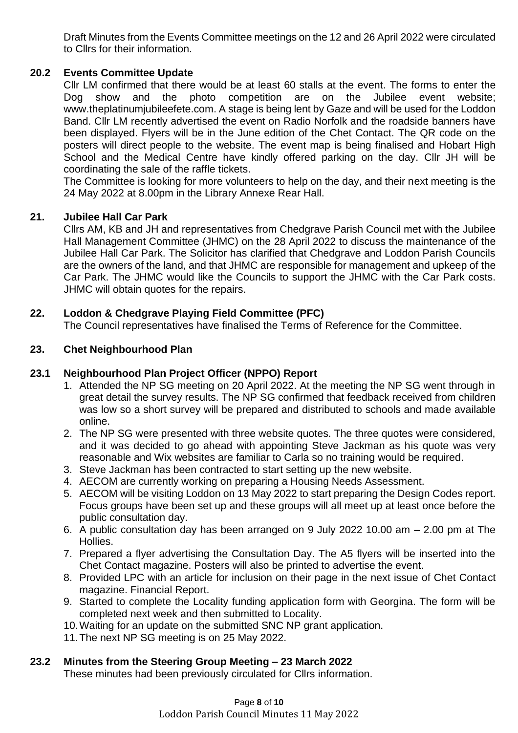Draft Minutes from the Events Committee meetings on the 12 and 26 April 2022 were circulated to Cllrs for their information.

# **20.2 Events Committee Update**

Cllr LM confirmed that there would be at least 60 stalls at the event. The forms to enter the Dog show and the photo competition are on the Jubilee event website; www.theplatinumjubileefete.com. A stage is being lent by Gaze and will be used for the Loddon Band. Cllr LM recently advertised the event on Radio Norfolk and the roadside banners have been displayed. Flyers will be in the June edition of the Chet Contact. The QR code on the posters will direct people to the website. The event map is being finalised and Hobart High School and the Medical Centre have kindly offered parking on the day. Cllr JH will be coordinating the sale of the raffle tickets.

The Committee is looking for more volunteers to help on the day, and their next meeting is the 24 May 2022 at 8.00pm in the Library Annexe Rear Hall.

# **21. Jubilee Hall Car Park**

Cllrs AM, KB and JH and representatives from Chedgrave Parish Council met with the Jubilee Hall Management Committee (JHMC) on the 28 April 2022 to discuss the maintenance of the Jubilee Hall Car Park. The Solicitor has clarified that Chedgrave and Loddon Parish Councils are the owners of the land, and that JHMC are responsible for management and upkeep of the Car Park. The JHMC would like the Councils to support the JHMC with the Car Park costs. JHMC will obtain quotes for the repairs.

# **22. Loddon & Chedgrave Playing Field Committee (PFC)**

The Council representatives have finalised the Terms of Reference for the Committee.

# **23. Chet Neighbourhood Plan**

# **23.1 Neighbourhood Plan Project Officer (NPPO) Report**

- 1. Attended the NP SG meeting on 20 April 2022. At the meeting the NP SG went through in great detail the survey results. The NP SG confirmed that feedback received from children was low so a short survey will be prepared and distributed to schools and made available online.
- 2. The NP SG were presented with three website quotes. The three quotes were considered, and it was decided to go ahead with appointing Steve Jackman as his quote was very reasonable and Wix websites are familiar to Carla so no training would be required.
- 3. Steve Jackman has been contracted to start setting up the new website.
- 4. AECOM are currently working on preparing a Housing Needs Assessment.
- 5. AECOM will be visiting Loddon on 13 May 2022 to start preparing the Design Codes report. Focus groups have been set up and these groups will all meet up at least once before the public consultation day.
- 6. A public consultation day has been arranged on 9 July 2022 10.00 am 2.00 pm at The Hollies.
- 7. Prepared a flyer advertising the Consultation Day. The A5 flyers will be inserted into the Chet Contact magazine. Posters will also be printed to advertise the event.
- 8. Provided LPC with an article for inclusion on their page in the next issue of Chet Contact magazine. Financial Report.
- 9. Started to complete the Locality funding application form with Georgina. The form will be completed next week and then submitted to Locality.
- 10.Waiting for an update on the submitted SNC NP grant application.
- 11.The next NP SG meeting is on 25 May 2022.

## **23.2 Minutes from the Steering Group Meeting – 23 March 2022**

These minutes had been previously circulated for Cllrs information.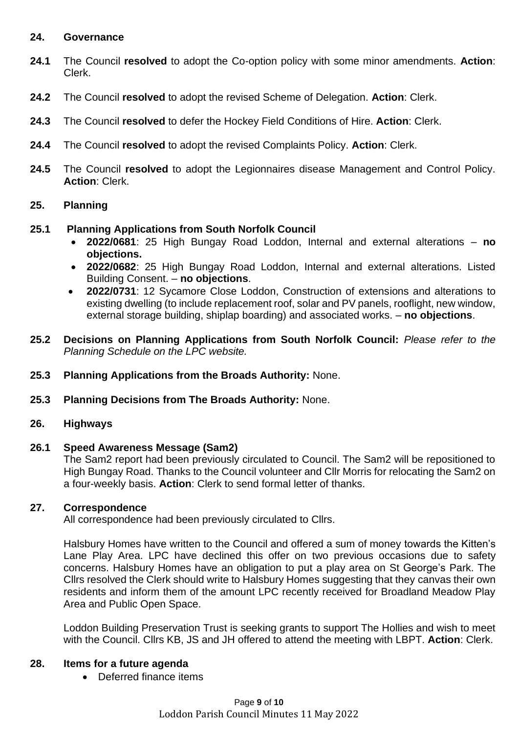## **24. Governance**

- **24.1** The Council **resolved** to adopt the Co-option policy with some minor amendments. **Action**: Clerk.
- **24.2** The Council **resolved** to adopt the revised Scheme of Delegation. **Action**: Clerk.
- **24.3** The Council **resolved** to defer the Hockey Field Conditions of Hire. **Action**: Clerk.
- **24.4** The Council **resolved** to adopt the revised Complaints Policy. **Action**: Clerk.
- **24.5** The Council **resolved** to adopt the Legionnaires disease Management and Control Policy. **Action**: Clerk.

## **25. Planning**

- **25.1 Planning Applications from South Norfolk Council** 
	- **2022/0681**: 25 High Bungay Road Loddon, Internal and external alterations **no objections.**
	- **2022/0682**: 25 High Bungay Road Loddon, Internal and external alterations. Listed Building Consent. – **no objections**.
	- **2022/0731**: 12 Sycamore Close Loddon, Construction of extensions and alterations to existing dwelling (to include replacement roof, solar and PV panels, rooflight, new window, external storage building, shiplap boarding) and associated works. – **no objections**.
- **25.2 Decisions on Planning Applications from South Norfolk Council:** *Please refer to the Planning Schedule on the LPC website.*
- **25.3 Planning Applications from the Broads Authority:** None.
- **25.3 Planning Decisions from The Broads Authority:** None.

#### **26. Highways**

## **26.1 Speed Awareness Message (Sam2)**

The Sam2 report had been previously circulated to Council. The Sam2 will be repositioned to High Bungay Road. Thanks to the Council volunteer and Cllr Morris for relocating the Sam2 on a four-weekly basis. **Action**: Clerk to send formal letter of thanks.

#### **27. Correspondence**

All correspondence had been previously circulated to Cllrs.

Halsbury Homes have written to the Council and offered a sum of money towards the Kitten's Lane Play Area. LPC have declined this offer on two previous occasions due to safety concerns. Halsbury Homes have an obligation to put a play area on St George's Park. The Cllrs resolved the Clerk should write to Halsbury Homes suggesting that they canvas their own residents and inform them of the amount LPC recently received for Broadland Meadow Play Area and Public Open Space.

Loddon Building Preservation Trust is seeking grants to support The Hollies and wish to meet with the Council. Cllrs KB, JS and JH offered to attend the meeting with LBPT. **Action**: Clerk.

#### **28. Items for a future agenda**

• Deferred finance items